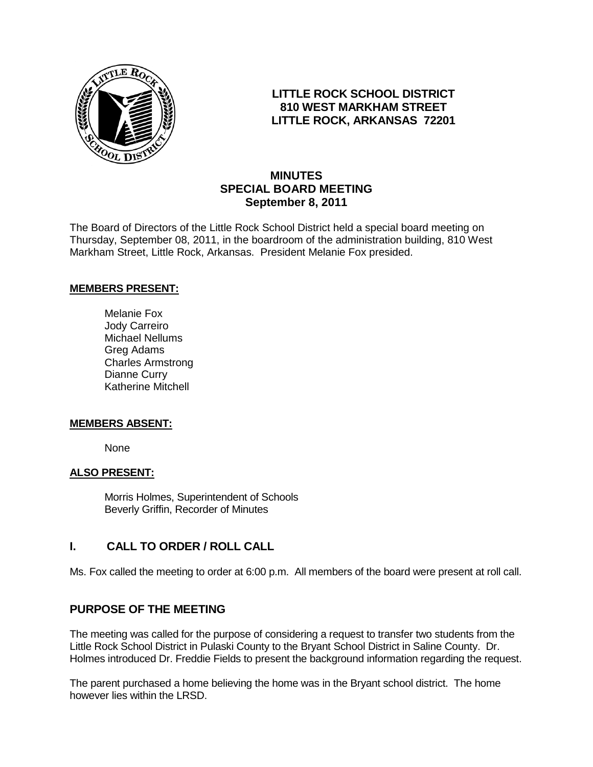

# **LITTLE ROCK SCHOOL DISTRICT 810 WEST MARKHAM STREET LITTLE ROCK, ARKANSAS 72201**

# **MINUTES SPECIAL BOARD MEETING September 8, 2011**

The Board of Directors of the Little Rock School District held a special board meeting on Thursday, September 08, 2011, in the boardroom of the administration building, 810 West Markham Street, Little Rock, Arkansas. President Melanie Fox presided.

#### **MEMBERS PRESENT:**

Melanie Fox Jody Carreiro Michael Nellums Greg Adams Charles Armstrong Dianne Curry Katherine Mitchell

#### **MEMBERS ABSENT:**

None

#### **ALSO PRESENT:**

Morris Holmes, Superintendent of Schools Beverly Griffin, Recorder of Minutes

## **I. CALL TO ORDER / ROLL CALL**

Ms. Fox called the meeting to order at 6:00 p.m. All members of the board were present at roll call.

# **PURPOSE OF THE MEETING**

The meeting was called for the purpose of considering a request to transfer two students from the Little Rock School District in Pulaski County to the Bryant School District in Saline County. Dr. Holmes introduced Dr. Freddie Fields to present the background information regarding the request.

The parent purchased a home believing the home was in the Bryant school district. The home however lies within the LRSD.